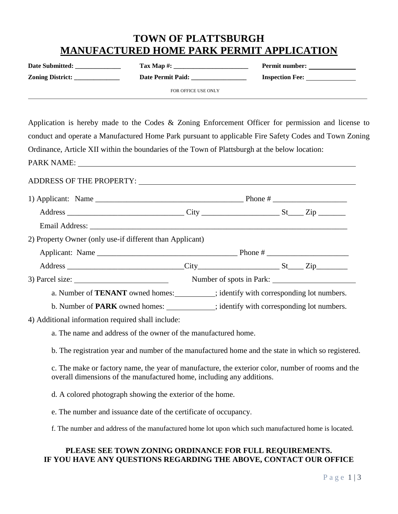# **TOWN OF PLATTSBURGH MANUFACTURED HOME PARK PERMIT APPLICATION**

| <b>Date Submitted:</b>  | Tax Map $\#$ :           | <b>Permit number:</b>  |
|-------------------------|--------------------------|------------------------|
| <b>Zoning District:</b> | <b>Date Permit Paid:</b> | <b>Inspection Fee:</b> |
|                         | FOR OFFICE USE ONLY      |                        |

Application is hereby made to the Codes & Zoning Enforcement Officer for permission and license to conduct and operate a Manufactured Home Park pursuant to applicable Fire Safety Codes and Town Zoning Ordinance, Article XII within the boundaries of the Town of Plattsburgh at the below location:

PARK NAME:

| 2) Property Owner (only use-if different than Applicant)                                    |                                                                                             |  |  |  |  |  |
|---------------------------------------------------------------------------------------------|---------------------------------------------------------------------------------------------|--|--|--|--|--|
|                                                                                             |                                                                                             |  |  |  |  |  |
|                                                                                             |                                                                                             |  |  |  |  |  |
| 3) Parcel size:                                                                             | Number of spots in Park:                                                                    |  |  |  |  |  |
| a. Number of <b>TENANT</b> owned homes: _________; identify with corresponding lot numbers. |                                                                                             |  |  |  |  |  |
|                                                                                             | b. Number of <b>PARK</b> owned homes: ___________; identify with corresponding lot numbers. |  |  |  |  |  |

4) Additional information required shall include:

a. The name and address of the owner of the manufactured home.

b. The registration year and number of the manufactured home and the state in which so registered.

c. The make or factory name, the year of manufacture, the exterior color, number of rooms and the overall dimensions of the manufactured home, including any additions.

d. A colored photograph showing the exterior of the home.

e. The number and issuance date of the certificate of occupancy.

f. The number and address of the manufactured home lot upon which such manufactured home is located.

## **PLEASE SEE TOWN ZONING ORDINANCE FOR FULL REQUIREMENTS. IF YOU HAVE ANY QUESTIONS REGARDING THE ABOVE, CONTACT OUR OFFICE**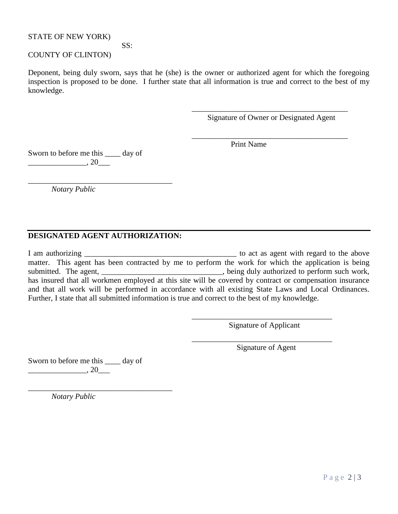#### STATE OF NEW YORK)

### SS:

## COUNTY OF CLINTON)

Deponent, being duly sworn, says that he (she) is the owner or authorized agent for which the foregoing inspection is proposed to be done. I further state that all information is true and correct to the best of my knowledge.

> \_\_\_\_\_\_\_\_\_\_\_\_\_\_\_\_\_\_\_\_\_\_\_\_\_\_\_\_\_\_\_\_\_\_\_\_\_\_\_\_ Signature of Owner or Designated Agent

> \_\_\_\_\_\_\_\_\_\_\_\_\_\_\_\_\_\_\_\_\_\_\_\_\_\_\_\_\_\_\_\_\_\_\_\_\_\_\_\_

Print Name

Sworn to before me this \_\_\_\_ day of  $\,$ , 20

*Notary Public*

#### **DESIGNATED AGENT AUTHORIZATION:**

\_\_\_\_\_\_\_\_\_\_\_\_\_\_\_\_\_\_\_\_\_\_\_\_\_\_\_\_\_\_\_\_\_\_\_\_\_

I am authorizing \_\_\_\_\_\_\_\_\_\_\_\_\_\_\_\_\_\_\_\_\_\_\_\_\_\_\_\_\_\_\_\_\_\_\_\_\_\_\_ to act as agent with regard to the above matter. This agent has been contracted by me to perform the work for which the application is being submitted. The agent, \_\_\_\_\_\_\_\_\_\_\_\_\_\_\_\_\_\_\_\_\_\_\_\_\_\_\_\_\_\_\_, being duly authorized to perform such work, has insured that all workmen employed at this site will be covered by contract or compensation insurance and that all work will be performed in accordance with all existing State Laws and Local Ordinances. Further, I state that all submitted information is true and correct to the best of my knowledge.

> \_\_\_\_\_\_\_\_\_\_\_\_\_\_\_\_\_\_\_\_\_\_\_\_\_\_\_\_\_\_\_\_\_\_\_\_ Signature of Applicant

> \_\_\_\_\_\_\_\_\_\_\_\_\_\_\_\_\_\_\_\_\_\_\_\_\_\_\_\_\_\_\_\_\_\_\_\_

Signature of Agent

Sworn to before me this \_\_\_\_ day of  $\frac{1}{20}$ , 20 $\frac{1}{20}$ 

\_\_\_\_\_\_\_\_\_\_\_\_\_\_\_\_\_\_\_\_\_\_\_\_\_\_\_\_\_\_\_\_\_\_\_\_\_

*Notary Public*